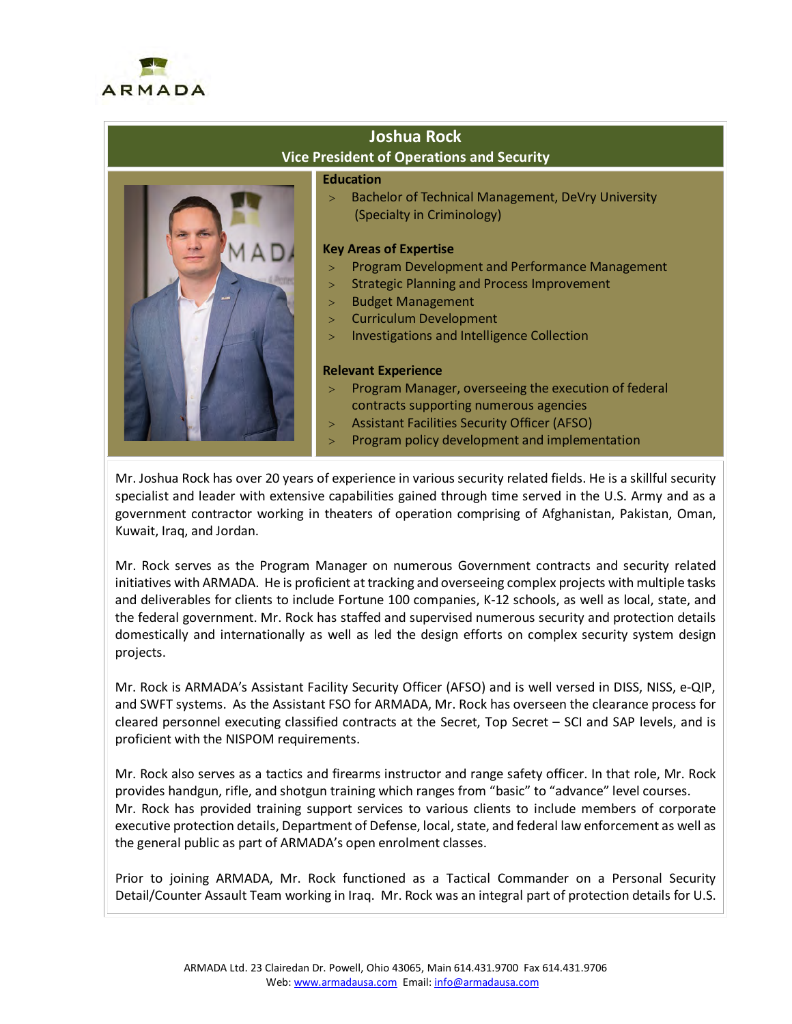

# **Joshua Rock Vice President of Operations and Security**

### **Education**



Bachelor of Technical Management, DeVry University (Specialty in Criminology)

#### **Key Areas of Expertise**

- > Program Development and Performance Management
- > Strategic Planning and Process Improvement
- > Budget Management
- > Curriculum Development
- > Investigations and Intelligence Collection

#### **Relevant Experience**

- > Program Manager, overseeing the execution of federal contracts supporting numerous agencies
- > Assistant Facilities Security Officer (AFSO)
- > Program policy development and implementation

Mr. Joshua Rock has over 20 years of experience in various security related fields. He is a skillful security specialist and leader with extensive capabilities gained through time served in the U.S. Army and as a government contractor working in theaters of operation comprising of Afghanistan, Pakistan, Oman, Kuwait, Iraq, and Jordan.

Mr. Rock serves as the Program Manager on numerous Government contracts and security related initiatives with ARMADA. He is proficient at tracking and overseeing complex projects with multiple tasks and deliverables for clients to include Fortune 100 companies, K-12 schools, as well as local, state, and the federal government. Mr. Rock has staffed and supervised numerous security and protection details domestically and internationally as well as led the design efforts on complex security system design projects.

Mr. Rock is ARMADA's Assistant Facility Security Officer (AFSO) and is well versed in DISS, NISS, e-QIP, and SWFT systems. As the Assistant FSO for ARMADA, Mr. Rock has overseen the clearance process for cleared personnel executing classified contracts at the Secret, Top Secret – SCI and SAP levels, and is proficient with the NISPOM requirements.

Mr. Rock also serves as a tactics and firearms instructor and range safety officer. In that role, Mr. Rock provides handgun, rifle, and shotgun training which ranges from "basic" to "advance" level courses. Mr. Rock has provided training support services to various clients to include members of corporate executive protection details, Department of Defense, local, state, and federal law enforcement as well as the general public as part of ARMADA's open enrolment classes.

Prior to joining ARMADA, Mr. Rock functioned as a Tactical Commander on a Personal Security Detail/Counter Assault Team working in Iraq. Mr. Rock was an integral part of protection details for U.S.